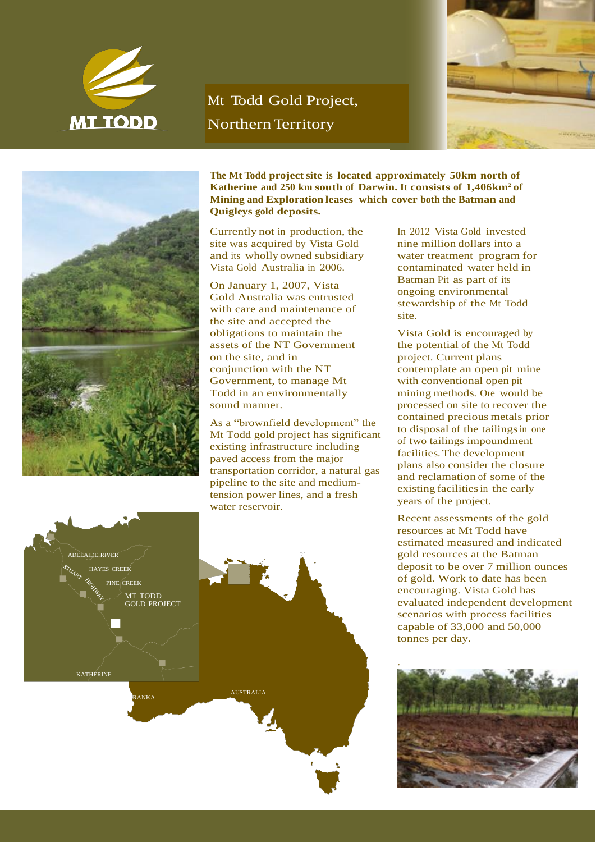

## Mt Todd Gold Project, Northern Territory





**The Mt Todd projectsite is located approximately 50km north of Katherine and 250 km south of Darwin. It consists of 1,406km<sup>2</sup>of Mining and Exploration leases which cover both the Batman and Quigleys gold deposits.**

Currently not in production, the site was acquired by Vista Gold and its wholly owned subsidiary Vista Gold Australia in 2006.

On January 1, 2007, Vista Gold Australia was entrusted with care and maintenance of the site and accepted the obligations to maintain the assets of the NT Government on the site, and in conjunction with the NT Government, to manage Mt Todd in an environmentally sound manner.

As a "brownfield development" the Mt Todd gold project has significant existing infrastructure including paved access from the major transportation corridor, a natural gas pipeline to the site and mediumtension power lines, and a fresh water reservoir.

AUSTRALIA

In 2012 Vista Gold invested nine million dollars into a water treatment program for contaminated water held in Batman Pit as part of its ongoing environmental stewardship of the Mt Todd site.

Vista Gold is encouraged by the potential of the Mt Todd project. Current plans contemplate an open pit mine with conventional open pit mining methods. Ore would be processed on site to recover the contained precious metals prior to disposal of the tailings in one of two tailings impoundment facilities.The development plans also consider the closure and reclamation of some of the existing facilities in the early years of the project.

Recent assessments of the gold resources at Mt Todd have estimated measured and indicated gold resources at the Batman deposit to be over 7 million ounces of gold. Work to date has been encouraging. Vista Gold has evaluated independent development scenarios with process facilities capable of 33,000 and 50,000 tonnes per day.